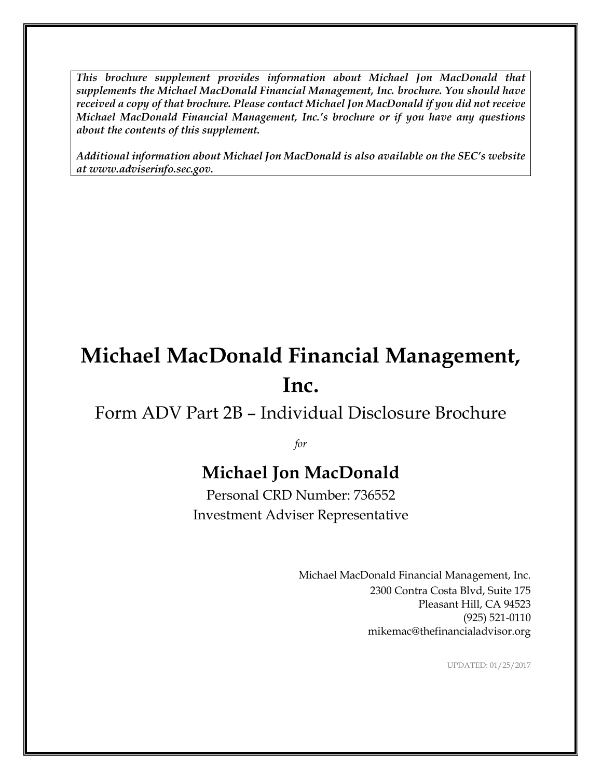*This brochure supplement provides information about Michael Jon MacDonald that supplements the Michael MacDonald Financial Management, Inc. brochure. You should have received a copy of that brochure. Please contact Michael Jon MacDonald if you did not receive Michael MacDonald Financial Management, Inc.'s brochure or if you have any questions about the contents of this supplement.*

*Additional information about Michael Jon MacDonald is also available on the SEC's website at www.adviserinfo.sec.gov.*

# **Michael MacDonald Financial Management, Inc.**

### Form ADV Part 2B – Individual Disclosure Brochure

*for*

## **Michael Jon MacDonald**

Personal CRD Number: 736552 Investment Adviser Representative

> Michael MacDonald Financial Management, Inc. 2300 Contra Costa Blvd, Suite 175 Pleasant Hill, CA 94523 (925) 521-0110 mikemac@thefinancialadvisor.org

> > UPDATED: 01/25/2017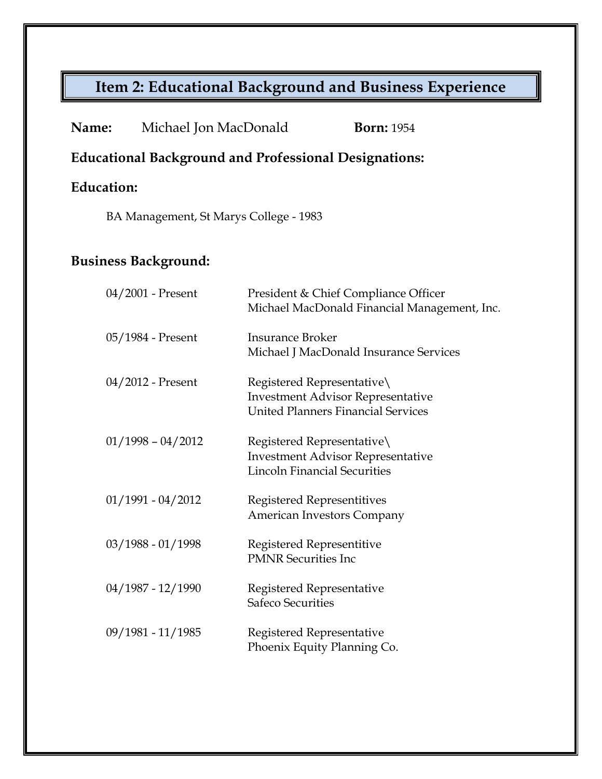## **Item 2: Educational Background and Business Experience**

| Name:                                                        | Michael Jon MacDonald                  | <b>Born:</b> 1954                                                                                                   |
|--------------------------------------------------------------|----------------------------------------|---------------------------------------------------------------------------------------------------------------------|
| <b>Educational Background and Professional Designations:</b> |                                        |                                                                                                                     |
| <b>Education:</b>                                            |                                        |                                                                                                                     |
|                                                              | BA Management, St Marys College - 1983 |                                                                                                                     |
| <b>Business Background:</b>                                  |                                        |                                                                                                                     |
|                                                              | $04/2001$ - Present                    | President & Chief Compliance Officer<br>Michael MacDonald Financial Management, Inc.                                |
|                                                              | 05/1984 - Present                      | <b>Insurance Broker</b><br>Michael J MacDonald Insurance Services                                                   |
|                                                              | 04/2012 - Present                      | Registered Representative\<br><b>Investment Advisor Representative</b><br><b>United Planners Financial Services</b> |
|                                                              | $01/1998 - 04/2012$                    | Registered Representative\<br><b>Investment Advisor Representative</b><br><b>Lincoln Financial Securities</b>       |
|                                                              | $01/1991 - 04/2012$                    | Registered Representitives<br>American Investors Company                                                            |
|                                                              | $03/1988 - 01/1998$                    | Registered Representitive<br><b>PMNR Securities Inc</b>                                                             |
|                                                              | 04/1987 - 12/1990                      | Registered Representative<br><b>Safeco Securities</b>                                                               |
|                                                              | 09/1981 - 11/1985                      | Registered Representative<br>Phoenix Equity Planning Co.                                                            |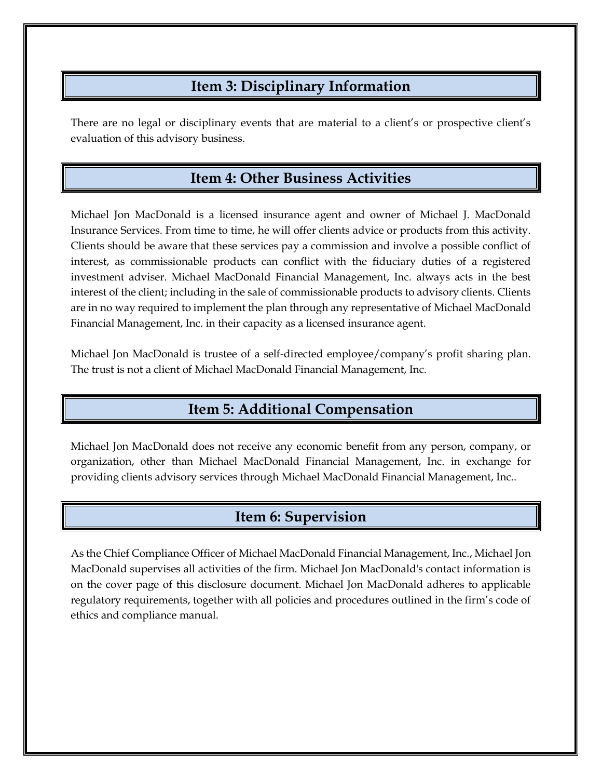#### **Item 3: Disciplinary Information**

There are no legal or disciplinary events that are material to a client's or prospective client's evaluation of this advisory business.

#### **Item 4: Other Business Activities**

Michael Jon MacDonald is a licensed insurance agent and owner of Michael J. MacDonald Insurance Services. From time to time, he will offer clients advice or products from this activity. Clients should be aware that these services pay a commission and involve a possible conflict of interest, as commissionable products can conflict with the fiduciary duties of a registered investment adviser. Michael MacDonald Financial Management, Inc. always acts in the best interest of the client; including in the sale of commissionable products to advisory clients. Clients are in no way required to implement the plan through any representative of Michael MacDonald Financial Management, Inc. in their capacity as a licensed insurance agent.

Michael Jon MacDonald is trustee of a self-directed employee/company's profit sharing plan. The trust is not a client of Michael MacDonald Financial Management, Inc.

#### **Item 5: Additional Compensation**

Michael Jon MacDonald does not receive any economic benefit from any person, company, or organization, other than Michael MacDonald Financial Management, Inc. in exchange for providing clients advisory services through Michael MacDonald Financial Management, Inc..

#### **Item 6: Supervision**

As the Chief Compliance Officer of Michael MacDonald Financial Management, Inc., Michael Jon MacDonald supervises all activities of the firm. Michael Jon MacDonald's contact information is on the cover page of this disclosure document. Michael Jon MacDonald adheres to applicable regulatory requirements, together with all policies and procedures outlined in the firm's code of ethics and compliance manual.